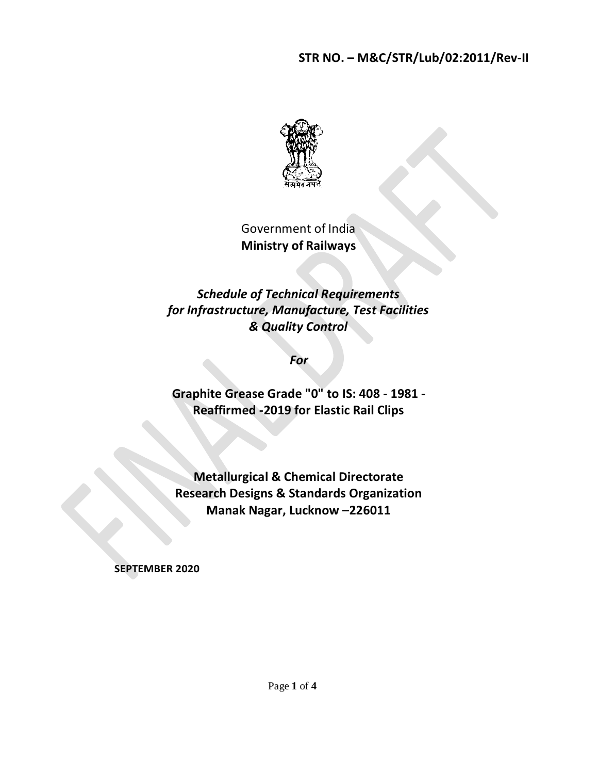## **STR NO. – M&C/STR/Lub/02:2011/Rev-II**



Government of India **Ministry of Railways**

*Schedule of Technical Requirements for Infrastructure, Manufacture, Test Facilities & Quality Control*

*For*

**Graphite Grease Grade "0" to IS: 408 - 1981 - Reaffirmed -2019 for Elastic Rail Clips**

**Metallurgical & Chemical Directorate Research Designs & Standards Organization Manak Nagar, Lucknow –226011**

**SEPTEMBER 2020**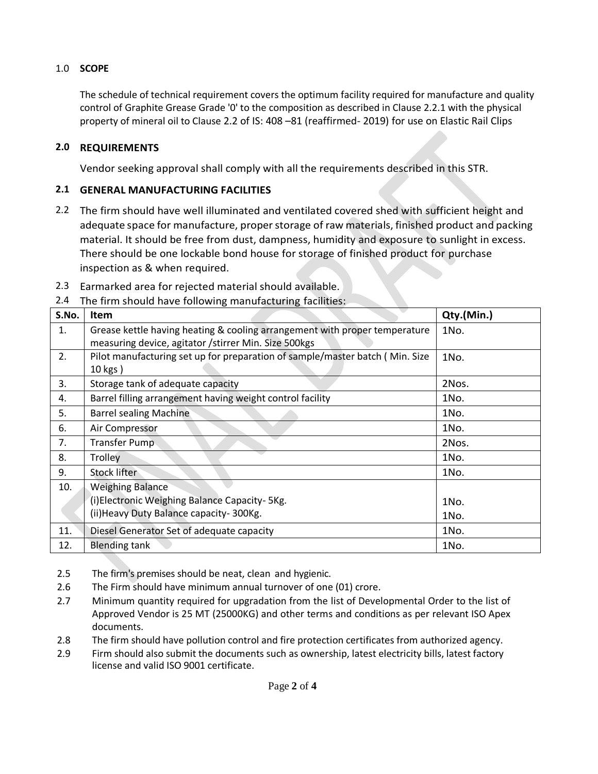## 1.0 **SCOPE**

The schedule of technical requirement covers the optimum facility required for manufacture and quality control of Graphite Grease Grade '0' to the composition as described in Clause 2.2.1 with the physical property of mineral oil to Clause 2.2 of IS: 408 –81 (reaffirmed- 2019) for use on Elastic Rail Clips

## **2.0 REQUIREMENTS**

Vendor seeking approval shall comply with all the requirements described in this STR.

#### **2.1 GENERAL MANUFACTURING FACILITIES**

- 2.2 The firm should have well illuminated and ventilated covered shed with sufficient height and adequate space for manufacture, proper storage of raw materials, finished product and packing material. It should be free from dust, dampness, humidity and exposure to sunlight in excess. There should be one lockable bond house for storage of finished product for purchase inspection as & when required.
- 2.3 Earmarked area for rejected material should available.
- 2.4 The firm should have following manufacturing facilities:

| S.No. | Item                                                                         | Qty.(Min.) |
|-------|------------------------------------------------------------------------------|------------|
| 1.    | Grease kettle having heating & cooling arrangement with proper temperature   | 1No.       |
|       | measuring device, agitator /stirrer Min. Size 500kgs                         |            |
| 2.    | Pilot manufacturing set up for preparation of sample/master batch (Min. Size | 1No.       |
|       | 10 kgs)                                                                      |            |
| 3.    | Storage tank of adequate capacity                                            | 2Nos.      |
| 4.    | Barrel filling arrangement having weight control facility                    | 1No.       |
| 5.    | <b>Barrel sealing Machine</b>                                                | 1No.       |
| 6.    | Air Compressor                                                               | 1No.       |
| 7.    | Transfer Pump                                                                | 2Nos.      |
| 8.    | Trolley                                                                      | 1No.       |
| 9.    | <b>Stock lifter</b>                                                          | 1No.       |
| 10.   | <b>Weighing Balance</b>                                                      |            |
|       | (i) Electronic Weighing Balance Capacity- 5Kg.                               | 1No.       |
|       | (ii) Heavy Duty Balance capacity - 300Kg.                                    | 1No.       |
| 11.   | Diesel Generator Set of adequate capacity                                    | 1No.       |
| 12.   | <b>Blending tank</b>                                                         | 1No.       |

2.5 The firm's premises should be neat, clean and hygienic.

- 2.6 The Firm should have minimum annual turnover of one (01) crore.
- 2.7 Minimum quantity required for upgradation from the list of Developmental Order to the list of Approved Vendor is 25 MT (25000KG) and other terms and conditions as per relevant ISO Apex documents.
- 2.8 The firm should have pollution control and fire protection certificates from authorized agency.
- 2.9 Firm should also submit the documents such as ownership, latest electricity bills, latest factory license and valid ISO 9001 certificate.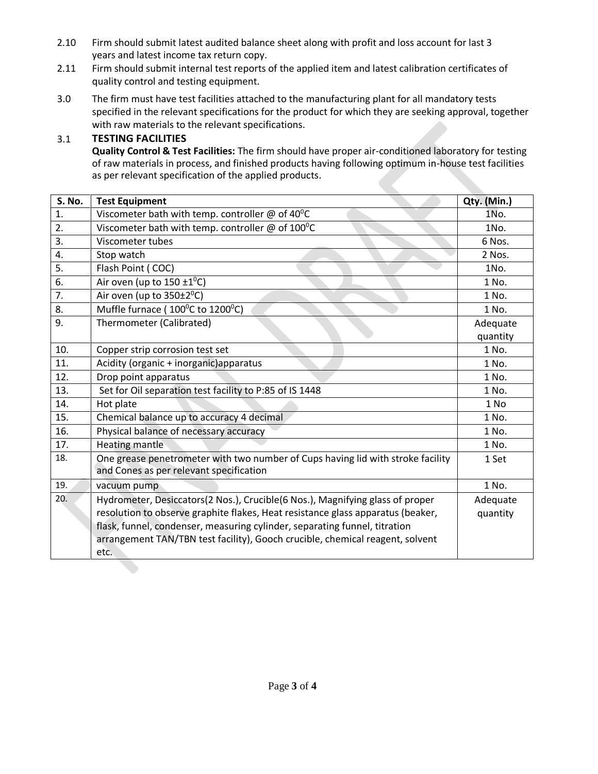- 2.10 Firm should submit latest audited balance sheet along with profit and loss account for last 3 years and latest income tax return copy.
- 2.11 Firm should submit internal test reports of the applied item and latest calibration certificates of quality control and testing equipment.
- 3.0 The firm must have test facilities attached to the manufacturing plant for all mandatory tests specified in the relevant specifications for the product for which they are seeking approval, together with raw materials to the relevant specifications.

## 3.1 **TESTING FACILITIES**

**Quality Control & Test Facilities:** The firm should have proper air-conditioned laboratory for testing of raw materials in process, and finished products having following optimum in-house test facilities as per relevant specification of the applied products.

| <b>S. No.</b> | <b>Test Equipment</b>                                                           | Qty. (Min.) |  |
|---------------|---------------------------------------------------------------------------------|-------------|--|
| 1.            | Viscometer bath with temp. controller $\omega$ of 40°C                          | 1No.        |  |
| 2.            | Viscometer bath with temp. controller $\omega$ of 100°C                         | 1No.        |  |
| 3.            | Viscometer tubes                                                                | 6 Nos.      |  |
| 4.            | Stop watch                                                                      | 2 Nos.      |  |
| 5.            | Flash Point (COC)                                                               | 1No.        |  |
| 6.            | Air oven (up to $150 \pm 1^0$ C)                                                | 1 No.       |  |
| 7.            | Air oven (up to $350\pm2^0C$ )                                                  | 1 No.       |  |
| 8.            | Muffle furnace (100°C to 1200°C)                                                | 1 No.       |  |
| 9.            | Thermometer (Calibrated)                                                        | Adequate    |  |
|               |                                                                                 | quantity    |  |
| 10.           | Copper strip corrosion test set                                                 | 1 No.       |  |
| 11.           | Acidity (organic + inorganic) apparatus                                         | 1 No.       |  |
| 12.           | Drop point apparatus                                                            | 1 No.       |  |
| 13.           | Set for Oil separation test facility to P:85 of IS 1448                         | 1 No.       |  |
| 14.           | Hot plate                                                                       | 1 No        |  |
| 15.           | Chemical balance up to accuracy 4 decimal                                       | 1 No.       |  |
| 16.           | Physical balance of necessary accuracy                                          | 1 No.       |  |
| 17.           | Heating mantle                                                                  | 1 No.       |  |
| 18.           | One grease penetrometer with two number of Cups having lid with stroke facility | 1 Set       |  |
|               | and Cones as per relevant specification                                         |             |  |
| 19.           | vacuum pump                                                                     | 1 No.       |  |
| 20.           | Hydrometer, Desiccators(2 Nos.), Crucible(6 Nos.), Magnifying glass of proper   | Adequate    |  |
|               | resolution to observe graphite flakes, Heat resistance glass apparatus (beaker, |             |  |
|               | flask, funnel, condenser, measuring cylinder, separating funnel, titration      |             |  |
|               | arrangement TAN/TBN test facility), Gooch crucible, chemical reagent, solvent   |             |  |
|               | etc.                                                                            |             |  |